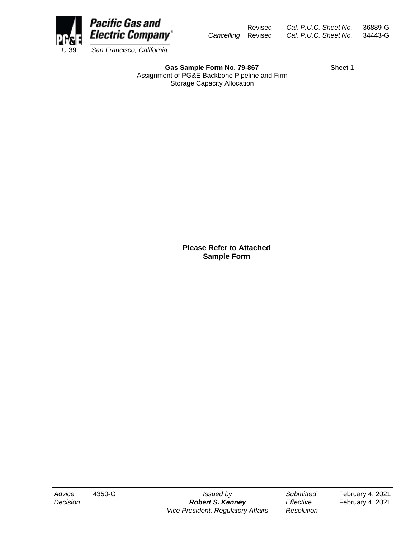

Revised *Cal. P.U.C. Sheet No.* 36889-G *Cancelling* Revised *Cal. P.U.C. Sheet No.* 34443-G

Gas Sample Form No. 79-867 Sheet 1 Assignment of PG&E Backbone Pipeline and Firm Storage Capacity Allocation

**Please Refer to Attached Sample Form**